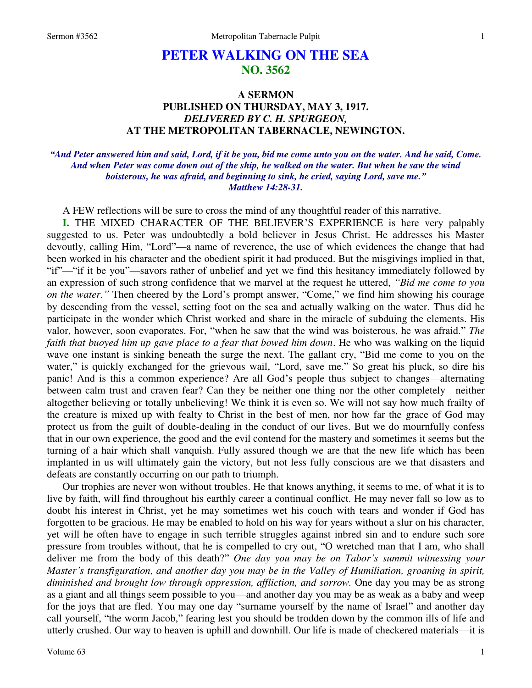# **PETER WALKING ON THE SEA NO. 3562**

# **A SERMON PUBLISHED ON THURSDAY, MAY 3, 1917.**  *DELIVERED BY C. H. SPURGEON,*  **AT THE METROPOLITAN TABERNACLE, NEWINGTON.**

# *"And Peter answered him and said, Lord, if it be you, bid me come unto you on the water. And he said, Come. And when Peter was come down out of the ship, he walked on the water. But when he saw the wind boisterous, he was afraid, and beginning to sink, he cried, saying Lord, save me." Matthew 14:28-31.*

A FEW reflections will be sure to cross the mind of any thoughtful reader of this narrative.

**I.** THE MIXED CHARACTER OF THE BELIEVER'S EXPERIENCE is here very palpably suggested to us. Peter was undoubtedly a bold believer in Jesus Christ. He addresses his Master devoutly, calling Him, "Lord"—a name of reverence, the use of which evidences the change that had been worked in his character and the obedient spirit it had produced. But the misgivings implied in that, "if"—"if it be you"—savors rather of unbelief and yet we find this hesitancy immediately followed by an expression of such strong confidence that we marvel at the request he uttered, *"Bid me come to you on the water."* Then cheered by the Lord's prompt answer, "Come," we find him showing his courage by descending from the vessel, setting foot on the sea and actually walking on the water. Thus did he participate in the wonder which Christ worked and share in the miracle of subduing the elements. His valor, however, soon evaporates. For, "when he saw that the wind was boisterous, he was afraid." *The faith that buoyed him up gave place to a fear that bowed him down*. He who was walking on the liquid wave one instant is sinking beneath the surge the next. The gallant cry, "Bid me come to you on the water," is quickly exchanged for the grievous wail, "Lord, save me." So great his pluck, so dire his panic! And is this a common experience? Are all God's people thus subject to changes—alternating between calm trust and craven fear? Can they be neither one thing nor the other completely—neither altogether believing or totally unbelieving! We think it is even so. We will not say how much frailty of the creature is mixed up with fealty to Christ in the best of men, nor how far the grace of God may protect us from the guilt of double-dealing in the conduct of our lives. But we do mournfully confess that in our own experience, the good and the evil contend for the mastery and sometimes it seems but the turning of a hair which shall vanquish. Fully assured though we are that the new life which has been implanted in us will ultimately gain the victory, but not less fully conscious are we that disasters and defeats are constantly occurring on our path to triumph.

Our trophies are never won without troubles. He that knows anything, it seems to me, of what it is to live by faith, will find throughout his earthly career a continual conflict. He may never fall so low as to doubt his interest in Christ, yet he may sometimes wet his couch with tears and wonder if God has forgotten to be gracious. He may be enabled to hold on his way for years without a slur on his character, yet will he often have to engage in such terrible struggles against inbred sin and to endure such sore pressure from troubles without, that he is compelled to cry out, "O wretched man that I am, who shall deliver me from the body of this death?" *One day you may be on Tabor's summit witnessing your Master's transfiguration, and another day you may be in the Valley of Humiliation, groaning in spirit, diminished and brought low through oppression, affliction, and sorrow.* One day you may be as strong as a giant and all things seem possible to you—and another day you may be as weak as a baby and weep for the joys that are fled. You may one day "surname yourself by the name of Israel" and another day call yourself, "the worm Jacob," fearing lest you should be trodden down by the common ills of life and utterly crushed. Our way to heaven is uphill and downhill. Our life is made of checkered materials—it is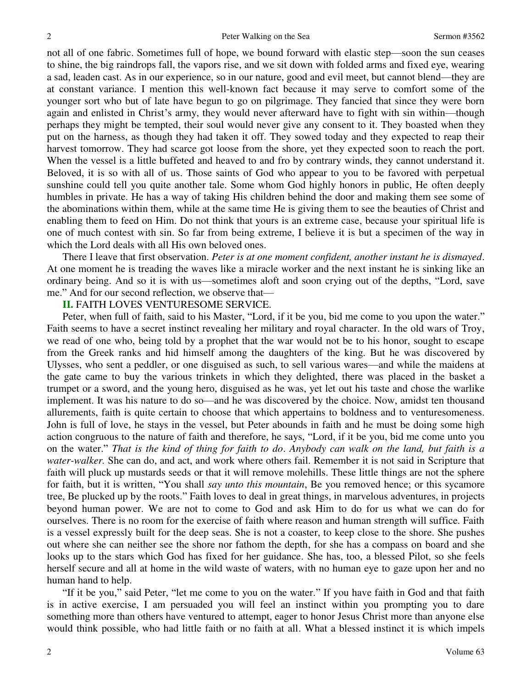not all of one fabric. Sometimes full of hope, we bound forward with elastic step—soon the sun ceases to shine, the big raindrops fall, the vapors rise, and we sit down with folded arms and fixed eye, wearing a sad, leaden cast. As in our experience, so in our nature, good and evil meet, but cannot blend—they are at constant variance. I mention this well-known fact because it may serve to comfort some of the younger sort who but of late have begun to go on pilgrimage. They fancied that since they were born again and enlisted in Christ's army, they would never afterward have to fight with sin within—though perhaps they might be tempted, their soul would never give any consent to it. They boasted when they put on the harness, as though they had taken it off. They sowed today and they expected to reap their harvest tomorrow. They had scarce got loose from the shore, yet they expected soon to reach the port. When the vessel is a little buffeted and heaved to and fro by contrary winds, they cannot understand it. Beloved, it is so with all of us. Those saints of God who appear to you to be favored with perpetual sunshine could tell you quite another tale. Some whom God highly honors in public, He often deeply humbles in private. He has a way of taking His children behind the door and making them see some of the abominations within them, while at the same time He is giving them to see the beauties of Christ and enabling them to feed on Him. Do not think that yours is an extreme case, because your spiritual life is one of much contest with sin. So far from being extreme, I believe it is but a specimen of the way in which the Lord deals with all His own beloved ones.

There I leave that first observation. *Peter is at one moment confident, another instant he is dismayed*. At one moment he is treading the waves like a miracle worker and the next instant he is sinking like an ordinary being. And so it is with us—sometimes aloft and soon crying out of the depths, "Lord, save me." And for our second reflection, we observe that—

#### **II.** FAITH LOVES VENTURESOME SERVICE.

Peter, when full of faith, said to his Master, "Lord, if it be you, bid me come to you upon the water." Faith seems to have a secret instinct revealing her military and royal character. In the old wars of Troy, we read of one who, being told by a prophet that the war would not be to his honor, sought to escape from the Greek ranks and hid himself among the daughters of the king. But he was discovered by Ulysses, who sent a peddler, or one disguised as such, to sell various wares—and while the maidens at the gate came to buy the various trinkets in which they delighted, there was placed in the basket a trumpet or a sword, and the young hero, disguised as he was, yet let out his taste and chose the warlike implement. It was his nature to do so—and he was discovered by the choice. Now, amidst ten thousand allurements, faith is quite certain to choose that which appertains to boldness and to venturesomeness. John is full of love, he stays in the vessel, but Peter abounds in faith and he must be doing some high action congruous to the nature of faith and therefore, he says, "Lord, if it be you, bid me come unto you on the water." *That is the kind of thing for faith to do*. *Anybody can walk on the land, but faith is a water-walker.* She can do, and act, and work where others fail. Remember it is not said in Scripture that faith will pluck up mustards seeds or that it will remove molehills. These little things are not the sphere for faith, but it is written, "You shall *say unto this mountain*, Be you removed hence; or this sycamore tree, Be plucked up by the roots." Faith loves to deal in great things, in marvelous adventures, in projects beyond human power. We are not to come to God and ask Him to do for us what we can do for ourselves. There is no room for the exercise of faith where reason and human strength will suffice. Faith is a vessel expressly built for the deep seas. She is not a coaster, to keep close to the shore. She pushes out where she can neither see the shore nor fathom the depth, for she has a compass on board and she looks up to the stars which God has fixed for her guidance. She has, too, a blessed Pilot, so she feels herself secure and all at home in the wild waste of waters, with no human eye to gaze upon her and no human hand to help.

"If it be you," said Peter, "let me come to you on the water." If you have faith in God and that faith is in active exercise, I am persuaded you will feel an instinct within you prompting you to dare something more than others have ventured to attempt, eager to honor Jesus Christ more than anyone else would think possible, who had little faith or no faith at all. What a blessed instinct it is which impels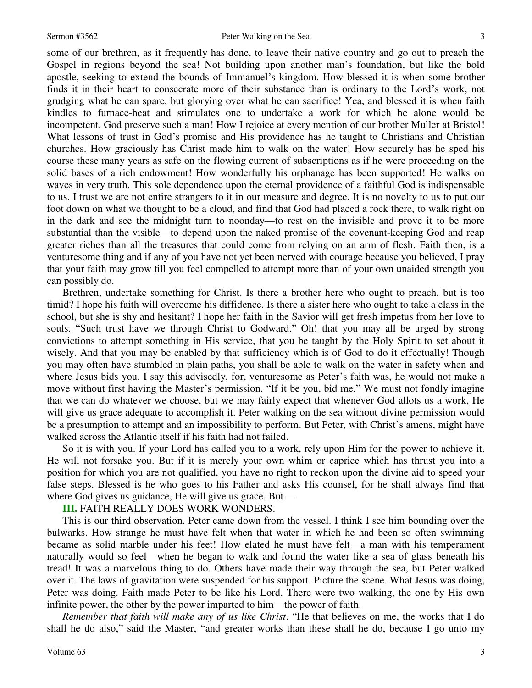some of our brethren, as it frequently has done, to leave their native country and go out to preach the Gospel in regions beyond the sea! Not building upon another man's foundation, but like the bold apostle, seeking to extend the bounds of Immanuel's kingdom. How blessed it is when some brother finds it in their heart to consecrate more of their substance than is ordinary to the Lord's work, not grudging what he can spare, but glorying over what he can sacrifice! Yea, and blessed it is when faith kindles to furnace-heat and stimulates one to undertake a work for which he alone would be incompetent. God preserve such a man! How I rejoice at every mention of our brother Muller at Bristol! What lessons of trust in God's promise and His providence has he taught to Christians and Christian churches. How graciously has Christ made him to walk on the water! How securely has he sped his course these many years as safe on the flowing current of subscriptions as if he were proceeding on the solid bases of a rich endowment! How wonderfully his orphanage has been supported! He walks on waves in very truth. This sole dependence upon the eternal providence of a faithful God is indispensable to us. I trust we are not entire strangers to it in our measure and degree. It is no novelty to us to put our foot down on what we thought to be a cloud, and find that God had placed a rock there, to walk right on in the dark and see the midnight turn to noonday—to rest on the invisible and prove it to be more substantial than the visible—to depend upon the naked promise of the covenant-keeping God and reap greater riches than all the treasures that could come from relying on an arm of flesh. Faith then, is a venturesome thing and if any of you have not yet been nerved with courage because you believed, I pray that your faith may grow till you feel compelled to attempt more than of your own unaided strength you can possibly do.

Brethren, undertake something for Christ. Is there a brother here who ought to preach, but is too timid? I hope his faith will overcome his diffidence. Is there a sister here who ought to take a class in the school, but she is shy and hesitant? I hope her faith in the Savior will get fresh impetus from her love to souls. "Such trust have we through Christ to Godward." Oh! that you may all be urged by strong convictions to attempt something in His service, that you be taught by the Holy Spirit to set about it wisely. And that you may be enabled by that sufficiency which is of God to do it effectually! Though you may often have stumbled in plain paths, you shall be able to walk on the water in safety when and where Jesus bids you. I say this advisedly, for, venturesome as Peter's faith was, he would not make a move without first having the Master's permission. "If it be you, bid me." We must not fondly imagine that we can do whatever we choose, but we may fairly expect that whenever God allots us a work, He will give us grace adequate to accomplish it. Peter walking on the sea without divine permission would be a presumption to attempt and an impossibility to perform. But Peter, with Christ's amens, might have walked across the Atlantic itself if his faith had not failed.

So it is with you. If your Lord has called you to a work, rely upon Him for the power to achieve it. He will not forsake you. But if it is merely your own whim or caprice which has thrust you into a position for which you are not qualified, you have no right to reckon upon the divine aid to speed your false steps. Blessed is he who goes to his Father and asks His counsel, for he shall always find that where God gives us guidance, He will give us grace. But—

### **III.** FAITH REALLY DOES WORK WONDERS.

This is our third observation. Peter came down from the vessel. I think I see him bounding over the bulwarks. How strange he must have felt when that water in which he had been so often swimming became as solid marble under his feet! How elated he must have felt—a man with his temperament naturally would so feel—when he began to walk and found the water like a sea of glass beneath his tread! It was a marvelous thing to do. Others have made their way through the sea, but Peter walked over it. The laws of gravitation were suspended for his support. Picture the scene. What Jesus was doing, Peter was doing. Faith made Peter to be like his Lord. There were two walking, the one by His own infinite power, the other by the power imparted to him—the power of faith.

*Remember that faith will make any of us like Christ*. "He that believes on me, the works that I do shall he do also," said the Master, "and greater works than these shall he do, because I go unto my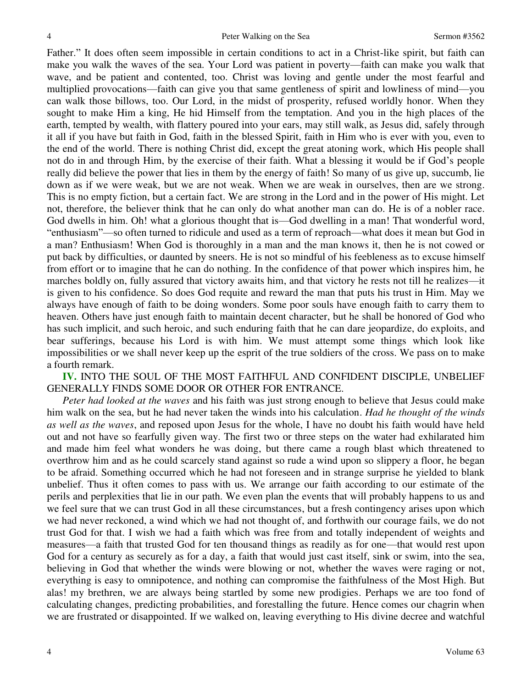Father." It does often seem impossible in certain conditions to act in a Christ-like spirit, but faith can make you walk the waves of the sea. Your Lord was patient in poverty—faith can make you walk that wave, and be patient and contented, too. Christ was loving and gentle under the most fearful and multiplied provocations—faith can give you that same gentleness of spirit and lowliness of mind—you can walk those billows, too. Our Lord, in the midst of prosperity, refused worldly honor. When they sought to make Him a king, He hid Himself from the temptation. And you in the high places of the earth, tempted by wealth, with flattery poured into your ears, may still walk, as Jesus did, safely through it all if you have but faith in God, faith in the blessed Spirit, faith in Him who is ever with you, even to the end of the world. There is nothing Christ did, except the great atoning work, which His people shall not do in and through Him, by the exercise of their faith. What a blessing it would be if God's people really did believe the power that lies in them by the energy of faith! So many of us give up, succumb, lie down as if we were weak, but we are not weak. When we are weak in ourselves, then are we strong. This is no empty fiction, but a certain fact. We are strong in the Lord and in the power of His might. Let not, therefore, the believer think that he can only do what another man can do. He is of a nobler race. God dwells in him. Oh! what a glorious thought that is—God dwelling in a man! That wonderful word, "enthusiasm"—so often turned to ridicule and used as a term of reproach—what does it mean but God in a man? Enthusiasm! When God is thoroughly in a man and the man knows it, then he is not cowed or put back by difficulties, or daunted by sneers. He is not so mindful of his feebleness as to excuse himself from effort or to imagine that he can do nothing. In the confidence of that power which inspires him, he marches boldly on, fully assured that victory awaits him, and that victory he rests not till he realizes—it is given to his confidence. So does God requite and reward the man that puts his trust in Him. May we always have enough of faith to be doing wonders. Some poor souls have enough faith to carry them to heaven. Others have just enough faith to maintain decent character, but he shall be honored of God who has such implicit, and such heroic, and such enduring faith that he can dare jeopardize, do exploits, and bear sufferings, because his Lord is with him. We must attempt some things which look like impossibilities or we shall never keep up the esprit of the true soldiers of the cross. We pass on to make a fourth remark.

**IV.** INTO THE SOUL OF THE MOST FAITHFUL AND CONFIDENT DISCIPLE, UNBELIEF GENERALLY FINDS SOME DOOR OR OTHER FOR ENTRANCE.

*Peter had looked at the waves* and his faith was just strong enough to believe that Jesus could make him walk on the sea, but he had never taken the winds into his calculation. *Had he thought of the winds as well as the waves*, and reposed upon Jesus for the whole, I have no doubt his faith would have held out and not have so fearfully given way. The first two or three steps on the water had exhilarated him and made him feel what wonders he was doing, but there came a rough blast which threatened to overthrow him and as he could scarcely stand against so rude a wind upon so slippery a floor, he began to be afraid. Something occurred which he had not foreseen and in strange surprise he yielded to blank unbelief. Thus it often comes to pass with us. We arrange our faith according to our estimate of the perils and perplexities that lie in our path. We even plan the events that will probably happens to us and we feel sure that we can trust God in all these circumstances, but a fresh contingency arises upon which we had never reckoned, a wind which we had not thought of, and forthwith our courage fails, we do not trust God for that. I wish we had a faith which was free from and totally independent of weights and measures—a faith that trusted God for ten thousand things as readily as for one—that would rest upon God for a century as securely as for a day, a faith that would just cast itself, sink or swim, into the sea, believing in God that whether the winds were blowing or not, whether the waves were raging or not, everything is easy to omnipotence, and nothing can compromise the faithfulness of the Most High. But alas! my brethren, we are always being startled by some new prodigies. Perhaps we are too fond of calculating changes, predicting probabilities, and forestalling the future. Hence comes our chagrin when we are frustrated or disappointed. If we walked on, leaving everything to His divine decree and watchful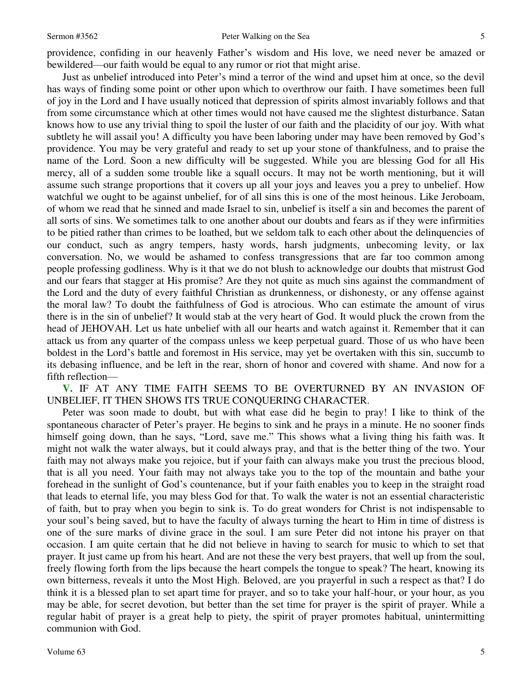#### Sermon #3562 **Peter Walking on the Sea 5**

providence, confiding in our heavenly Father's wisdom and His love, we need never be amazed or bewildered—our faith would be equal to any rumor or riot that might arise.

Just as unbelief introduced into Peter's mind a terror of the wind and upset him at once, so the devil has ways of finding some point or other upon which to overthrow our faith. I have sometimes been full of joy in the Lord and I have usually noticed that depression of spirits almost invariably follows and that from some circumstance which at other times would not have caused me the slightest disturbance. Satan knows how to use any trivial thing to spoil the luster of our faith and the placidity of our joy. With what subtlety he will assail you! A difficulty you have been laboring under may have been removed by God's providence. You may be very grateful and ready to set up your stone of thankfulness, and to praise the name of the Lord. Soon a new difficulty will be suggested. While you are blessing God for all His mercy, all of a sudden some trouble like a squall occurs. It may not be worth mentioning, but it will assume such strange proportions that it covers up all your joys and leaves you a prey to unbelief. How watchful we ought to be against unbelief, for of all sins this is one of the most heinous. Like Jeroboam, of whom we read that he sinned and made Israel to sin, unbelief is itself a sin and becomes the parent of all sorts of sins. We sometimes talk to one another about our doubts and fears as if they were infirmities to be pitied rather than crimes to be loathed, but we seldom talk to each other about the delinquencies of our conduct, such as angry tempers, hasty words, harsh judgments, unbecoming levity, or lax conversation. No, we would be ashamed to confess transgressions that are far too common among people professing godliness. Why is it that we do not blush to acknowledge our doubts that mistrust God and our fears that stagger at His promise? Are they not quite as much sins against the commandment of the Lord and the duty of every faithful Christian as drunkenness, or dishonesty, or any offense against the moral law? To doubt the faithfulness of God is atrocious. Who can estimate the amount of virus there is in the sin of unbelief? It would stab at the very heart of God. It would pluck the crown from the head of JEHOVAH. Let us hate unbelief with all our hearts and watch against it. Remember that it can attack us from any quarter of the compass unless we keep perpetual guard. Those of us who have been boldest in the Lord's battle and foremost in His service, may yet be overtaken with this sin, succumb to its debasing influence, and be left in the rear, shorn of honor and covered with shame. And now for a fifth reflection—

**V.** IF AT ANY TIME FAITH SEEMS TO BE OVERTURNED BY AN INVASION OF UNBELIEF, IT THEN SHOWS ITS TRUE CONQUERING CHARACTER.

Peter was soon made to doubt, but with what ease did he begin to pray! I like to think of the spontaneous character of Peter's prayer. He begins to sink and he prays in a minute. He no sooner finds himself going down, than he says, "Lord, save me." This shows what a living thing his faith was. It might not walk the water always, but it could always pray, and that is the better thing of the two. Your faith may not always make you rejoice, but if your faith can always make you trust the precious blood, that is all you need. Your faith may not always take you to the top of the mountain and bathe your forehead in the sunlight of God's countenance, but if your faith enables you to keep in the straight road that leads to eternal life, you may bless God for that. To walk the water is not an essential characteristic of faith, but to pray when you begin to sink is. To do great wonders for Christ is not indispensable to your soul's being saved, but to have the faculty of always turning the heart to Him in time of distress is one of the sure marks of divine grace in the soul. I am sure Peter did not intone his prayer on that occasion. I am quite certain that he did not believe in having to search for music to which to set that prayer. It just came up from his heart. And are not these the very best prayers, that well up from the soul, freely flowing forth from the lips because the heart compels the tongue to speak? The heart, knowing its own bitterness, reveals it unto the Most High. Beloved, are you prayerful in such a respect as that? I do think it is a blessed plan to set apart time for prayer, and so to take your half-hour, or your hour, as you may be able, for secret devotion, but better than the set time for prayer is the spirit of prayer. While a regular habit of prayer is a great help to piety, the spirit of prayer promotes habitual, unintermitting communion with God.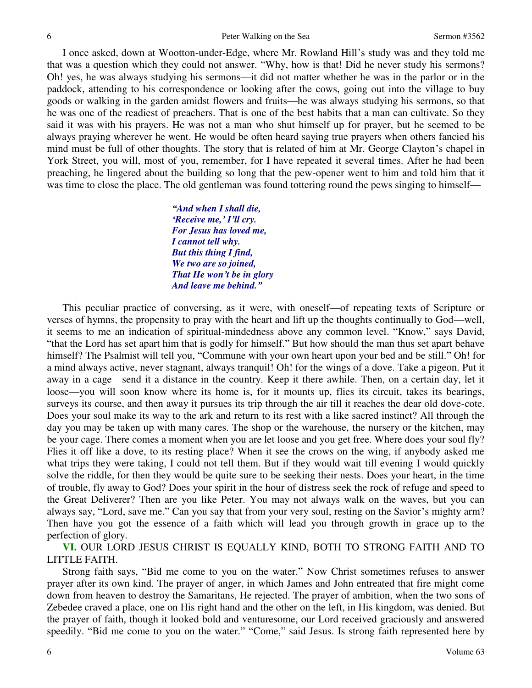I once asked, down at Wootton-under-Edge, where Mr. Rowland Hill's study was and they told me that was a question which they could not answer. "Why, how is that! Did he never study his sermons? Oh! yes, he was always studying his sermons—it did not matter whether he was in the parlor or in the paddock, attending to his correspondence or looking after the cows, going out into the village to buy goods or walking in the garden amidst flowers and fruits—he was always studying his sermons, so that he was one of the readiest of preachers. That is one of the best habits that a man can cultivate. So they said it was with his prayers. He was not a man who shut himself up for prayer, but he seemed to be always praying wherever he went. He would be often heard saying true prayers when others fancied his mind must be full of other thoughts. The story that is related of him at Mr. George Clayton's chapel in York Street, you will, most of you, remember, for I have repeated it several times. After he had been preaching, he lingered about the building so long that the pew-opener went to him and told him that it was time to close the place. The old gentleman was found tottering round the pews singing to himself—

> *"And when I shall die, 'Receive me,' I'll cry. For Jesus has loved me, I cannot tell why. But this thing I find, We two are so joined, That He won't be in glory And leave me behind."*

 This peculiar practice of conversing, as it were, with oneself—of repeating texts of Scripture or verses of hymns, the propensity to pray with the heart and lift up the thoughts continually to God—well, it seems to me an indication of spiritual-mindedness above any common level. "Know," says David, "that the Lord has set apart him that is godly for himself." But how should the man thus set apart behave himself? The Psalmist will tell you, "Commune with your own heart upon your bed and be still." Oh! for a mind always active, never stagnant, always tranquil! Oh! for the wings of a dove. Take a pigeon. Put it away in a cage—send it a distance in the country. Keep it there awhile. Then, on a certain day, let it loose—you will soon know where its home is, for it mounts up, flies its circuit, takes its bearings, surveys its course, and then away it pursues its trip through the air till it reaches the dear old dove-cote. Does your soul make its way to the ark and return to its rest with a like sacred instinct? All through the day you may be taken up with many cares. The shop or the warehouse, the nursery or the kitchen, may be your cage. There comes a moment when you are let loose and you get free. Where does your soul fly? Flies it off like a dove, to its resting place? When it see the crows on the wing, if anybody asked me what trips they were taking, I could not tell them. But if they would wait till evening I would quickly solve the riddle, for then they would be quite sure to be seeking their nests. Does your heart, in the time of trouble, fly away to God? Does your spirit in the hour of distress seek the rock of refuge and speed to the Great Deliverer? Then are you like Peter. You may not always walk on the waves, but you can always say, "Lord, save me." Can you say that from your very soul, resting on the Savior's mighty arm? Then have you got the essence of a faith which will lead you through growth in grace up to the perfection of glory.

**VI.** OUR LORD JESUS CHRIST IS EQUALLY KIND, BOTH TO STRONG FAITH AND TO LITTLE FAITH.

Strong faith says, "Bid me come to you on the water." Now Christ sometimes refuses to answer prayer after its own kind. The prayer of anger, in which James and John entreated that fire might come down from heaven to destroy the Samaritans, He rejected. The prayer of ambition, when the two sons of Zebedee craved a place, one on His right hand and the other on the left, in His kingdom, was denied. But the prayer of faith, though it looked bold and venturesome, our Lord received graciously and answered speedily. "Bid me come to you on the water." "Come," said Jesus. Is strong faith represented here by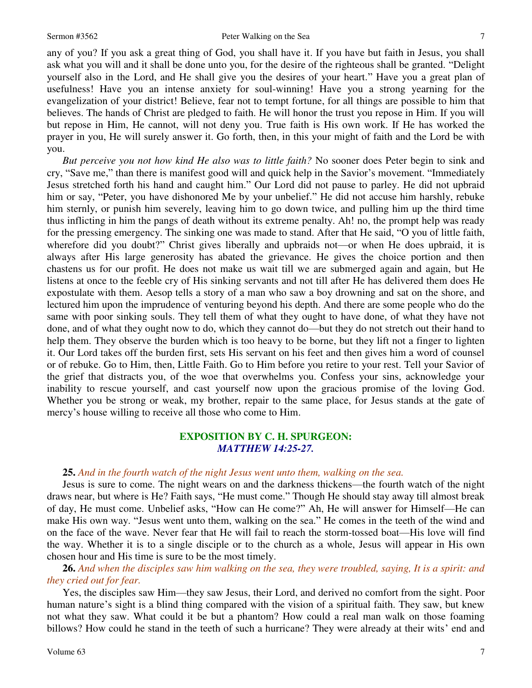any of you? If you ask a great thing of God, you shall have it. If you have but faith in Jesus, you shall ask what you will and it shall be done unto you, for the desire of the righteous shall be granted. "Delight yourself also in the Lord, and He shall give you the desires of your heart." Have you a great plan of usefulness! Have you an intense anxiety for soul-winning! Have you a strong yearning for the evangelization of your district! Believe, fear not to tempt fortune, for all things are possible to him that believes. The hands of Christ are pledged to faith. He will honor the trust you repose in Him. If you will but repose in Him, He cannot, will not deny you. True faith is His own work. If He has worked the prayer in you, He will surely answer it. Go forth, then, in this your might of faith and the Lord be with you.

*But perceive you not how kind He also was to little faith?* No sooner does Peter begin to sink and cry, "Save me," than there is manifest good will and quick help in the Savior's movement. "Immediately Jesus stretched forth his hand and caught him." Our Lord did not pause to parley. He did not upbraid him or say, "Peter, you have dishonored Me by your unbelief." He did not accuse him harshly, rebuke him sternly, or punish him severely, leaving him to go down twice, and pulling him up the third time thus inflicting in him the pangs of death without its extreme penalty. Ah! no, the prompt help was ready for the pressing emergency. The sinking one was made to stand. After that He said, "O you of little faith, wherefore did you doubt?" Christ gives liberally and upbraids not—or when He does upbraid, it is always after His large generosity has abated the grievance. He gives the choice portion and then chastens us for our profit. He does not make us wait till we are submerged again and again, but He listens at once to the feeble cry of His sinking servants and not till after He has delivered them does He expostulate with them. Aesop tells a story of a man who saw a boy drowning and sat on the shore, and lectured him upon the imprudence of venturing beyond his depth. And there are some people who do the same with poor sinking souls. They tell them of what they ought to have done, of what they have not done, and of what they ought now to do, which they cannot do—but they do not stretch out their hand to help them. They observe the burden which is too heavy to be borne, but they lift not a finger to lighten it. Our Lord takes off the burden first, sets His servant on his feet and then gives him a word of counsel or of rebuke. Go to Him, then, Little Faith. Go to Him before you retire to your rest. Tell your Savior of the grief that distracts you, of the woe that overwhelms you. Confess your sins, acknowledge your inability to rescue yourself, and cast yourself now upon the gracious promise of the loving God. Whether you be strong or weak, my brother, repair to the same place, for Jesus stands at the gate of mercy's house willing to receive all those who come to Him.

# **EXPOSITION BY C. H. SPURGEON:** *MATTHEW 14:25-27.*

#### **25.** *And in the fourth watch of the night Jesus went unto them, walking on the sea.*

Jesus is sure to come. The night wears on and the darkness thickens—the fourth watch of the night draws near, but where is He? Faith says, "He must come." Though He should stay away till almost break of day, He must come. Unbelief asks, "How can He come?" Ah, He will answer for Himself—He can make His own way. "Jesus went unto them, walking on the sea." He comes in the teeth of the wind and on the face of the wave. Never fear that He will fail to reach the storm-tossed boat—His love will find the way. Whether it is to a single disciple or to the church as a whole, Jesus will appear in His own chosen hour and His time is sure to be the most timely.

**26.** *And when the disciples saw him walking on the sea, they were troubled, saying, It is a spirit: and they cried out for fear.* 

Yes, the disciples saw Him—they saw Jesus, their Lord, and derived no comfort from the sight. Poor human nature's sight is a blind thing compared with the vision of a spiritual faith. They saw, but knew not what they saw. What could it be but a phantom? How could a real man walk on those foaming billows? How could he stand in the teeth of such a hurricane? They were already at their wits' end and